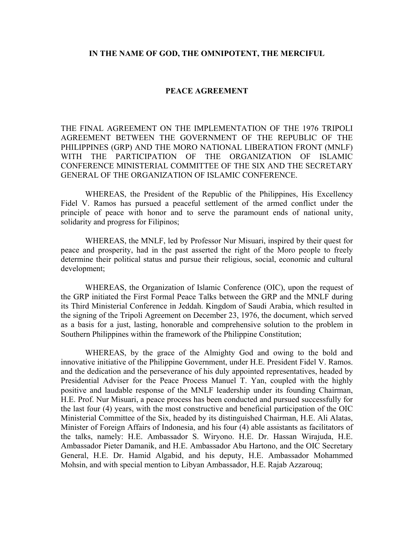#### **IN THE NAME OF GOD, THE OMNIPOTENT, THE MERCIFUL**

#### **PEACE AGREEMENT**

THE FINAL AGREEMENT ON THE IMPLEMENTATION OF THE 1976 TRIPOLI AGREEMENT BETWEEN THE GOVERNMENT OF THE REPUBLIC OF THE PHILIPPINES (GRP) AND THE MORO NATIONAL LIBERATION FRONT (MNLF) WITH THE PARTICIPATION OF THE ORGANIZATION OF ISLAMIC CONFERENCE MINISTERIAL COMMITTEE OF THE SIX AND THE SECRETARY GENERAL OF THE ORGANIZATION OF ISLAMIC CONFERENCE.

WHEREAS, the President of the Republic of the Philippines, His Excellency Fidel V. Ramos has pursued a peaceful settlement of the armed conflict under the principle of peace with honor and to serve the paramount ends of national unity, solidarity and progress for Filipinos;

WHEREAS, the MNLF, led by Professor Nur Misuari, inspired by their quest for peace and prosperity, had in the past asserted the right of the Moro people to freely determine their political status and pursue their religious, social, economic and cultural development;

WHEREAS, the Organization of Islamic Conference (OIC), upon the request of the GRP initiated the First Formal Peace Talks between the GRP and the MNLF during its Third Ministerial Conference in Jeddah. Kingdom of Saudi Arabia, which resulted in the signing of the Tripoli Agreement on December 23, 1976, the document, which served as a basis for a just, lasting, honorable and comprehensive solution to the problem in Southern Philippines within the framework of the Philippine Constitution;

WHEREAS, by the grace of the Almighty God and owing to the bold and innovative initiative of the Philippine Government, under H.E. President Fidel V. Ramos. and the dedication and the perseverance of his duly appointed representatives, headed by Presidential Adviser for the Peace Process Manuel T. Yan, coupled with the highly positive and laudable response of the MNLF leadership under its founding Chairman, H.E. Prof. Nur Misuari, a peace process has been conducted and pursued successfully for the last four (4) years, with the most constructive and beneficial participation of the OIC Ministerial Committee of the Six, headed by its distinguished Chairman, H.E. Ali Alatas, Minister of Foreign Affairs of Indonesia, and his four (4) able assistants as facilitators of the talks, namely: H.E. Ambassador S. Wiryono. H.E. Dr. Hassan Wirajuda, H.E. Ambassador Pieter Damanik, and H.E. Ambassador Abu Hartono, and the OIC Secretary General, H.E. Dr. Hamid Algabid, and his deputy, H.E. Ambassador Mohammed Mohsin, and with special mention to Libyan Ambassador, H.E. Rajab Azzarouq;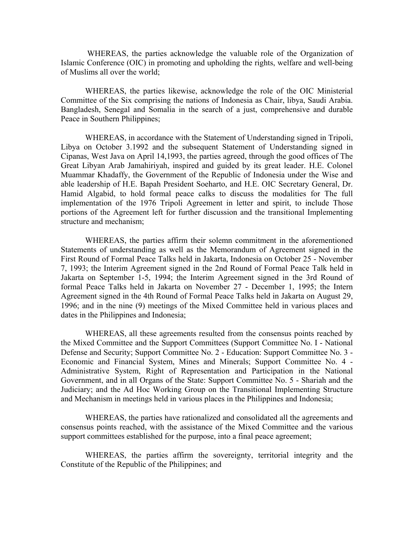WHEREAS, the parties acknowledge the valuable role of the Organization of Islamic Conference (OIC) in promoting and upholding the rights, welfare and well-being of Muslims all over the world;

WHEREAS, the parties likewise, acknowledge the role of the OIC Ministerial Committee of the Six comprising the nations of Indonesia as Chair, libya, Saudi Arabia. Bangladesh, Senegal and Somalia in the search of a just, comprehensive and durable Peace in Southern Philippines;

WHEREAS, in accordance with the Statement of Understanding signed in Tripoli, Libya on October 3.1992 and the subsequent Statement of Understanding signed in Cipanas, West Java on April 14,1993, the parties agreed, through the good offices of The Great Libyan Arab Jamahiriyah, inspired and guided by its great leader. H.E. Colonel Muammar Khadaffy, the Government of the Republic of Indonesia under the Wise and able leadership of H.E. Bapah President Soeharto, and H.E. OIC Secretary General, Dr. Hamid Algabid, to hold formal peace calks to discuss the modalities for The full implementation of the 1976 Tripoli Agreement in letter and spirit, to include Those portions of the Agreement left for further discussion and the transitional Implementing structure and mechanism;

WHEREAS, the parties affirm their solemn commitment in the aforementioned Statements of understanding as well as the Memorandum of Agreement signed in the First Round of Formal Peace Talks held in Jakarta, Indonesia on October 25 - November 7, 1993; the Interim Agreement signed in the 2nd Round of Formal Peace Talk held in Jakarta on September 1-5, 1994; the Interim Agreement signed in the 3rd Round of formal Peace Talks held in Jakarta on November 27 - December 1, 1995; the Intern Agreement signed in the 4th Round of Formal Peace Talks held in Jakarta on August 29, 1996; and in the nine (9) meetings of the Mixed Committee held in various places and dates in the Philippines and Indonesia;

WHEREAS, all these agreements resulted from the consensus points reached by the Mixed Committee and the Support Committees (Support Committee No. I - National Defense and Security; Support Committee No. 2 - Education: Support Committee No. 3 - Economic and Financial System, Mines and Minerals; Support Committee No. 4 - Administrative System, Right of Representation and Participation in the National Government, and in all Organs of the State: Support Committee No. 5 - Shariah and the Judiciary; and the Ad Hoc Working Group on the Transitional Implementing Structure and Mechanism in meetings held in various places in the Philippines and Indonesia;

WHEREAS, the parties have rationalized and consolidated all the agreements and consensus points reached, with the assistance of the Mixed Committee and the various support committees established for the purpose, into a final peace agreement;

WHEREAS, the parties affirm the sovereignty, territorial integrity and the Constitute of the Republic of the Philippines; and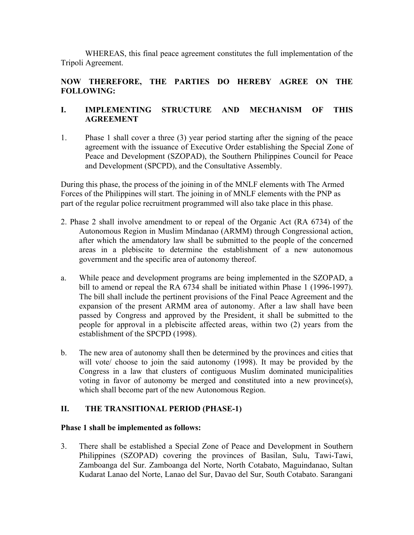WHEREAS, this final peace agreement constitutes the full implementation of the Tripoli Agreement.

# **NOW THEREFORE, THE PARTIES DO HEREBY AGREE ON THE FOLLOWING:**

## **I. IMPLEMENTING STRUCTURE AND MECHANISM OF THIS AGREEMENT**

1. Phase 1 shall cover a three (3) year period starting after the signing of the peace agreement with the issuance of Executive Order establishing the Special Zone of Peace and Development (SZOPAD), the Southern Philippines Council for Peace and Development (SPCPD), and the Consultative Assembly.

During this phase, the process of the joining in of the MNLF elements with The Armed Forces of the Philippines will start. The joining in of MNLF elements with the PNP as part of the regular police recruitment programmed will also take place in this phase.

- 2. Phase 2 shall involve amendment to or repeal of the Organic Act (RA 6734) of the Autonomous Region in Muslim Mindanao (ARMM) through Congressional action, after which the amendatory law shall be submitted to the people of the concerned areas in a plebiscite to determine the establishment of a new autonomous government and the specific area of autonomy thereof.
- a. While peace and development programs are being implemented in the SZOPAD, a bill to amend or repeal the RA 6734 shall be initiated within Phase 1 (1996-1997). The bill shall include the pertinent provisions of the Final Peace Agreement and the expansion of the present ARMM area of autonomy. After a law shall have been passed by Congress and approved by the President, it shall be submitted to the people for approval in a plebiscite affected areas, within two (2) years from the establishment of the SPCPD (1998).
- b. The new area of autonomy shall then be determined by the provinces and cities that will vote/ choose to join the said autonomy (1998). It may be provided by the Congress in a law that clusters of contiguous Muslim dominated municipalities voting in favor of autonomy be merged and constituted into a new province(s), which shall become part of the new Autonomous Region.

## **II. THE TRANSITIONAL PERIOD (PHASE-1)**

## **Phase 1 shall be implemented as follows:**

3. There shall be established a Special Zone of Peace and Development in Southern Philippines (SZOPAD) covering the provinces of Basilan, Sulu, Tawi-Tawi, Zamboanga del Sur. Zamboanga del Norte, North Cotabato, Maguindanao, Sultan Kudarat Lanao del Norte, Lanao del Sur, Davao del Sur, South Cotabato. Sarangani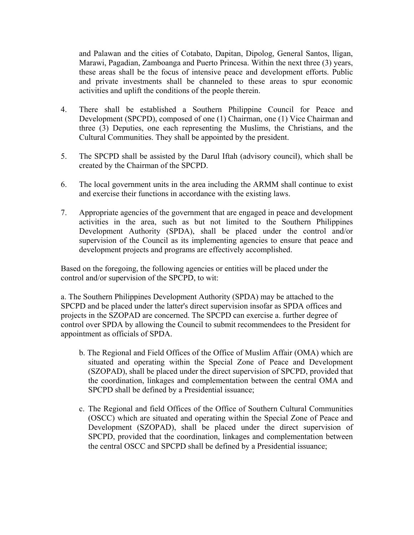and Palawan and the cities of Cotabato, Dapitan, Dipolog, General Santos, lligan, Marawi, Pagadian, Zamboanga and Puerto Princesa. Within the next three (3) years, these areas shall be the focus of intensive peace and development efforts. Public and private investments shall be channeled to these areas to spur economic activities and uplift the conditions of the people therein.

- 4. There shall be established a Southern Philippine Council for Peace and Development (SPCPD), composed of one (1) Chairman, one (1) Vice Chairman and three (3) Deputies, one each representing the Muslims, the Christians, and the Cultural Communities. They shall be appointed by the president.
- 5. The SPCPD shall be assisted by the Darul Iftah (advisory council), which shall be created by the Chairman of the SPCPD.
- 6. The local government units in the area including the ARMM shall continue to exist and exercise their functions in accordance with the existing laws.
- 7. Appropriate agencies of the government that are engaged in peace and development activities in the area, such as but not limited to the Southern Philippines Development Authority (SPDA), shall be placed under the control and/or supervision of the Council as its implementing agencies to ensure that peace and development projects and programs are effectively accomplished.

Based on the foregoing, the following agencies or entities will be placed under the control and/or supervision of the SPCPD, to wit:

a. The Southern Philippines Development Authority (SPDA) may be attached to the SPCPD and be placed under the latter's direct supervision insofar as SPDA offices and projects in the SZOPAD are concerned. The SPCPD can exercise a. further degree of control over SPDA by allowing the Council to submit recommendees to the President for appointment as officials of SPDA.

- b. The Regional and Field Offices of the Office of Muslim Affair (OMA) which are situated and operating within the Special Zone of Peace and Development (SZOPAD), shall be placed under the direct supervision of SPCPD, provided that the coordination, linkages and complementation between the central OMA and SPCPD shall be defined by a Presidential issuance;
- c. The Regional and field Offices of the Office of Southern Cultural Communities (OSCC) which are situated and operating within the Special Zone of Peace and Development (SZOPAD), shall be placed under the direct supervision of SPCPD, provided that the coordination, linkages and complementation between the central OSCC and SPCPD shall be defined by a Presidential issuance;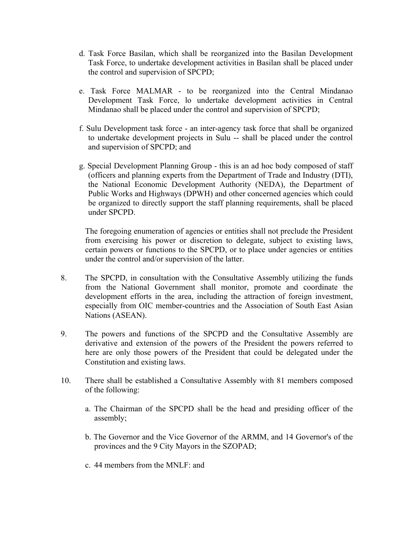- d. Task Force Basilan, which shall be reorganized into the Basilan Development Task Force, to undertake development activities in Basilan shall be placed under the control and supervision of SPCPD;
- e. Task Force MALMAR to be reorganized into the Central Mindanao Development Task Force, lo undertake development activities in Central Mindanao shall be placed under the control and supervision of SPCPD;
- f. Sulu Development task force an inter-agency task force that shall be organized to undertake development projects in Sulu -- shall be placed under the control and supervision of SPCPD; and
- g. Special Development Planning Group this is an ad hoc body composed of staff (officers and planning experts from the Department of Trade and Industry (DTI), the National Economic Development Authority (NEDA), the Department of Public Works and Highways (DPWH) and other concerned agencies which could be organized to directly support the staff planning requirements, shall be placed under SPCPD.

The foregoing enumeration of agencies or entities shall not preclude the President from exercising his power or discretion to delegate, subject to existing laws, certain powers or functions to the SPCPD, or to place under agencies or entities under the control and/or supervision of the latter.

- 8. The SPCPD, in consultation with the Consultative Assembly utilizing the funds from the National Government shall monitor, promote and coordinate the development efforts in the area, including the attraction of foreign investment, especially from OIC member-countries and the Association of South East Asian Nations (ASEAN).
- 9. The powers and functions of the SPCPD and the Consultative Assembly are derivative and extension of the powers of the President the powers referred to here are only those powers of the President that could be delegated under the Constitution and existing laws.
- 10. There shall be established a Consultative Assembly with 81 members composed of the following:
	- a. The Chairman of the SPCPD shall be the head and presiding officer of the assembly;
	- b. The Governor and the Vice Governor of the ARMM, and 14 Governor's of the provinces and the 9 City Mayors in the SZOPAD;
	- c. 44 members from the MNLF: and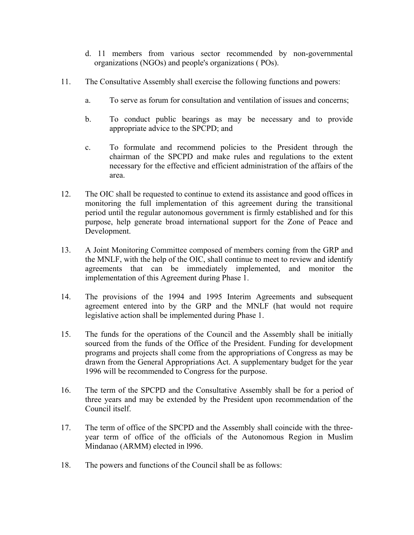- d. 11 members from various sector recommended by non-governmental organizations (NGOs) and people's organizations ( POs).
- 11. The Consultative Assembly shall exercise the following functions and powers:
	- a. To serve as forum for consultation and ventilation of issues and concerns;
	- b. To conduct public bearings as may be necessary and to provide appropriate advice to the SPCPD; and
	- c. To formulate and recommend policies to the President through the chairman of the SPCPD and make rules and regulations to the extent necessary for the effective and efficient administration of the affairs of the area.
- 12. The OIC shall be requested to continue to extend its assistance and good offices in monitoring the full implementation of this agreement during the transitional period until the regular autonomous government is firmly established and for this purpose, help generate broad international support for the Zone of Peace and Development.
- 13. A Joint Monitoring Committee composed of members coming from the GRP and the MNLF, with the help of the OIC, shall continue to meet to review and identify agreements that can be immediately implemented, and monitor the implementation of this Agreement during Phase 1.
- 14. The provisions of the 1994 and 1995 Interim Agreements and subsequent agreement entered into by the GRP and the MNLF (hat would not require legislative action shall be implemented during Phase 1.
- 15. The funds for the operations of the Council and the Assembly shall be initially sourced from the funds of the Office of the President. Funding for development programs and projects shall come from the appropriations of Congress as may be drawn from the General Appropriations Act. A supplementary budget for the year 1996 will be recommended to Congress for the purpose.
- 16. The term of the SPCPD and the Consultative Assembly shall be for a period of three years and may be extended by the President upon recommendation of the Council itself.
- 17. The term of office of the SPCPD and the Assembly shall coincide with the threeyear term of office of the officials of the Autonomous Region in Muslim Mindanao (ARMM) elected in l996.
- 18. The powers and functions of the Council shall be as follows: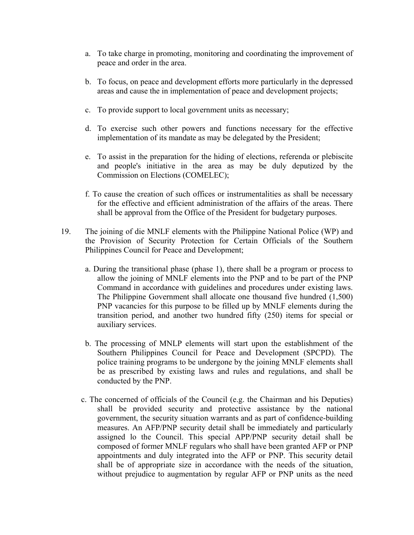- a. To take charge in promoting, monitoring and coordinating the improvement of peace and order in the area.
- b. To focus, on peace and development efforts more particularly in the depressed areas and cause the in implementation of peace and development projects;
- c. To provide support to local government units as necessary;
- d. To exercise such other powers and functions necessary for the effective implementation of its mandate as may be delegated by the President;
- e. To assist in the preparation for the hiding of elections, referenda or plebiscite and people's initiative in the area as may be duly deputized by the Commission on Elections (COMELEC);
- f. To cause the creation of such offices or instrumentalities as shall be necessary for the effective and efficient administration of the affairs of the areas. There shall be approval from the Office of the President for budgetary purposes.
- 19. The joining of die MNLF elements with the Philippine National Police (WP) and the Provision of Security Protection for Certain Officials of the Southern Philippines Council for Peace and Development;
	- a. During the transitional phase (phase 1), there shall be a program or process to allow the joining of MNLF elements into the PNP and to be part of the PNP Command in accordance with guidelines and procedures under existing laws. The Philippine Government shall allocate one thousand five hundred (1,500) PNP vacancies for this purpose to be filled up by MNLF elements during the transition period, and another two hundred fifty (250) items for special or auxiliary services.
	- b. The processing of MNLP elements will start upon the establishment of the Southern Philippines Council for Peace and Development (SPCPD). The police training programs to be undergone by the joining MNLF elements shall be as prescribed by existing laws and rules and regulations, and shall be conducted by the PNP.
	- c. The concerned of officials of the Council (e.g. the Chairman and his Deputies) shall be provided security and protective assistance by the national government, the security situation warrants and as part of confidence-building measures. An AFP/PNP security detail shall be immediately and particularly assigned lo the Council. This special APP/PNP security detail shall be composed of former MNLF regulars who shall have been granted AFP or PNP appointments and duly integrated into the AFP or PNP. This security detail shall be of appropriate size in accordance with the needs of the situation, without prejudice to augmentation by regular AFP or PNP units as the need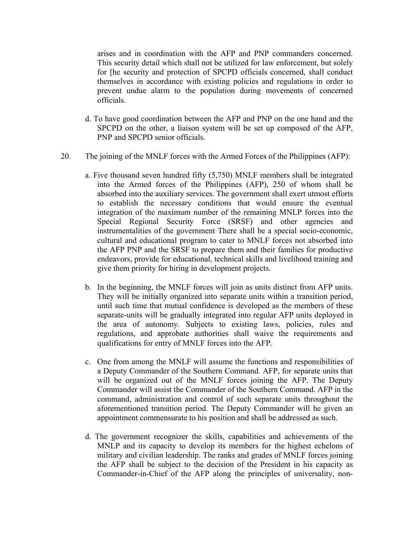arises and in coordination with the AFP and PNP commanders concerned. This security detail which shall not be utilized for law enforcement, but solely for [he security and protection of SPCPD officials concerned, shall conduct themselves in accordance with existing policies and regulations in order to prevent undue alarm to the population during movements of concerned officials.

- d. To have good coordination between the AFP and PNP on the one hand and the SPCPD on the other, a liaison system will be set up composed of the AFP, PNP and SPCPD senior officials.
- 20. The joining of the MNLF forces with the Armed Forces of the Philippines (AFP):
	- a. Five thousand seven hundred fifty (5,750) MNLF members shall be integrated into the Armed forces of the Philippines (AFP), 250 of whom shall be absorbed into the auxiliary services. The government shall exert utmost efforts to establish the necessary conditions that would ensure the eventual integration of the maximum number of the remaining MNLP forces into the Special Regional Security Force (SRSF) and other agencies and instrumentalities of the government There shall be a special socio-economic, cultural and educational program to cater to MNLF forces not absorbed into the AFP PNP and the SRSF to prepare them and their families for productive endeavors, provide for educational, technical skills and livelihood training and give them priority for hiring in development projects.
	- b. In the beginning, the MNLF forces will join as units distinct from AFP units. They will be initially organized into separate units within a transition period, until such time that mutual confidence is developed as the members of these separate-units will be gradually integrated into regular AFP units deployed in the area of autonomy. Subjects to existing laws, policies, rules and regulations, and approbate authorities shall waive the requirements and qualifications for entry of MNLF forces into the AFP.
	- c. One from among the MNLF will assume the functions and responsibilities of a Deputy Commander of the Southern Command. AFP, for separate units that will be organized out of the MNLF forces joining the AFP. The Deputy Commander will assist the Commander of the Southern Command. AFP in the command, administration and control of such separate units throughout the aforementioned transition period. The Deputy Commander will he given an appointment commensurate to his position and shall be addressed as such.
	- d. The government recognizer the skills, capabilities and achievements of the MNLP and its capacity to develop its members for the highest echelons of military and civilian leadership. The ranks and grades of MNLF forces joining the AFP shall be subject to the decision of the President in his capacity as Commander-in-Chief of the AFP along the principles of universality, non-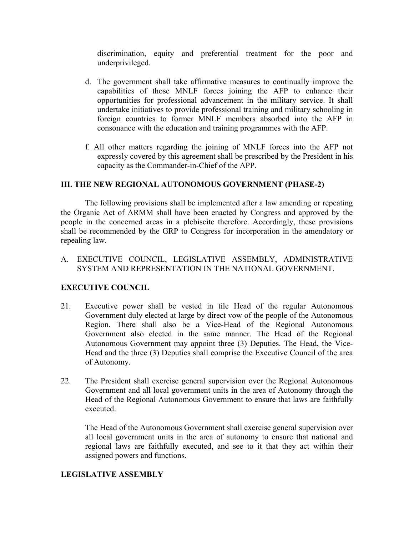discrimination, equity and preferential treatment for the poor and underprivileged.

- d. The government shall take affirmative measures to continually improve the capabilities of those MNLF forces joining the AFP to enhance their opportunities for professional advancement in the military service. It shall undertake initiatives to provide professional training and military schooling in foreign countries to former MNLF members absorbed into the AFP in consonance with the education and training programmes with the AFP.
- f. All other matters regarding the joining of MNLF forces into the AFP not expressly covered by this agreement shall be prescribed by the President in his capacity as the Commander-in-Chief of the APP.

#### **III. THE NEW REGIONAL AUTONOMOUS GOVERNMENT (PHASE-2)**

The following provisions shall be implemented after a law amending or repeating the Organic Act of ARMM shall have been enacted by Congress and approved by the people in the concerned areas in a plebiscite therefore. Accordingly, these provisions shall be recommended by the GRP to Congress for incorporation in the amendatory or repealing law.

A. EXECUTIVE COUNCIL, LEGISLATIVE ASSEMBLY, ADMINISTRATIVE SYSTEM AND REPRESENTATION IN THE NATIONAL GOVERNMENT.

## **EXECUTIVE COUNCIL**

- 21. Executive power shall be vested in tile Head of the regular Autonomous Government duly elected at large by direct vow of the people of the Autonomous Region. There shall also be a Vice-Head of the Regional Autonomous Government also elected in the same manner. The Head of the Regional Autonomous Government may appoint three (3) Deputies. The Head, the Vice-Head and the three (3) Deputies shall comprise the Executive Council of the area of Autonomy.
- 22. The President shall exercise general supervision over the Regional Autonomous Government and all local government units in the area of Autonomy through the Head of the Regional Autonomous Government to ensure that laws are faithfully executed.

The Head of the Autonomous Government shall exercise general supervision over all local government units in the area of autonomy to ensure that national and regional laws are faithfully executed, and see to it that they act within their assigned powers and functions.

#### **LEGISLATIVE ASSEMBLY**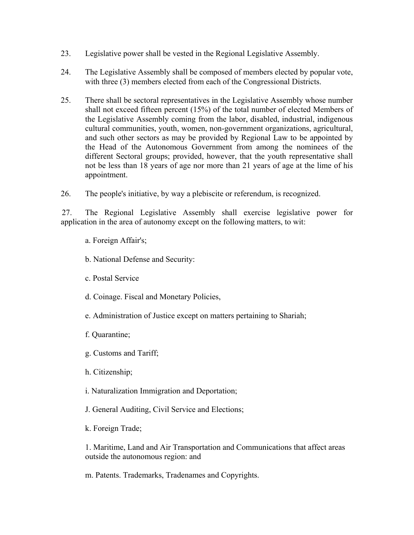- 23. Legislative power shall be vested in the Regional Legislative Assembly.
- 24. The Legislative Assembly shall be composed of members elected by popular vote, with three (3) members elected from each of the Congressional Districts.
- 25. There shall be sectoral representatives in the Legislative Assembly whose number shall not exceed fifteen percent (15%) of the total number of elected Members of the Legislative Assembly coming from the labor, disabled, industrial, indigenous cultural communities, youth, women, non-government organizations, agricultural, and such other sectors as may be provided by Regional Law to be appointed by the Head of the Autonomous Government from among the nominees of the different Sectoral groups; provided, however, that the youth representative shall not be less than 18 years of age nor more than 21 years of age at the lime of his appointment.

26. The people's initiative, by way a plebiscite or referendum, is recognized.

27. The Regional Legislative Assembly shall exercise legislative power for application in the area of autonomy except on the following matters, to wit:

- a. Foreign Affair's;
- b. National Defense and Security:
- c. Postal Service
- d. Coinage. Fiscal and Monetary Policies,
- e. Administration of Justice except on matters pertaining to Shariah;
- f. Quarantine;
- g. Customs and Tariff;
- h. Citizenship;
- i. Naturalization Immigration and Deportation;
- J. General Auditing, Civil Service and Elections;
- k. Foreign Trade;

1. Maritime, Land and Air Transportation and Communications that affect areas outside the autonomous region: and

m. Patents. Trademarks, Tradenames and Copyrights.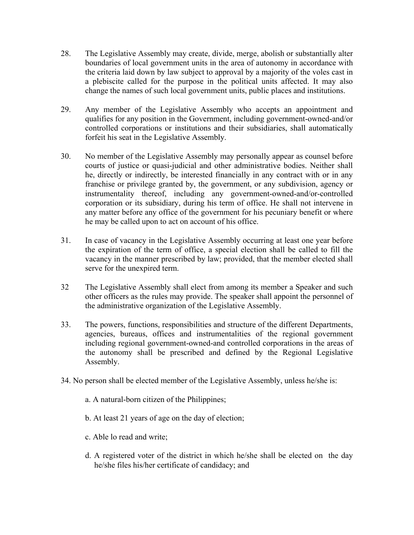- 28. The Legislative Assembly may create, divide, merge, abolish or substantially alter boundaries of local government units in the area of autonomy in accordance with the criteria laid down by law subject to approval by a majority of the voles cast in a plebiscite called for the purpose in the political units affected. It may also change the names of such local government units, public places and institutions.
- 29. Any member of the Legislative Assembly who accepts an appointment and qualifies for any position in the Government, including government-owned-and/or controlled corporations or institutions and their subsidiaries, shall automatically forfeit his seat in the Legislative Assembly.
- 30. No member of the Legislative Assembly may personally appear as counsel before courts of justice or quasi-judicial and other administrative bodies. Neither shall he, directly or indirectly, be interested financially in any contract with or in any franchise or privilege granted by, the government, or any subdivision, agency or instrumentality thereof, including any government-owned-and/or-controlled corporation or its subsidiary, during his term of office. He shall not intervene in any matter before any office of the government for his pecuniary benefit or where he may be called upon to act on account of his office.
- 31. In case of vacancy in the Legislative Assembly occurring at least one year before the expiration of the term of office, a special election shall be called to fill the vacancy in the manner prescribed by law; provided, that the member elected shall serve for the unexpired term.
- 32 The Legislative Assembly shall elect from among its member a Speaker and such other officers as the rules may provide. The speaker shall appoint the personnel of the administrative organization of the Legislative Assembly.
- 33. The powers, functions, responsibilities and structure of the different Departments, agencies, bureaus, offices and instrumentalities of the regional government including regional government-owned-and controlled corporations in the areas of the autonomy shall be prescribed and defined by the Regional Legislative Assembly.
- 34. No person shall be elected member of the Legislative Assembly, unless he/she is:
	- a. A natural-born citizen of the Philippines;
	- b. At least 21 years of age on the day of election;
	- c. Able lo read and write;
	- d. A registered voter of the district in which he/she shall be elected on the day he/she files his/her certificate of candidacy; and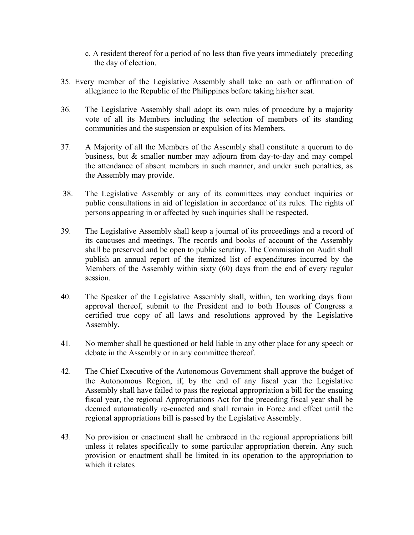- c. A resident thereof for a period of no less than five years immediately preceding the day of election.
- 35. Every member of the Legislative Assembly shall take an oath or affirmation of allegiance to the Republic of the Philippines before taking his/her seat.
- 36. The Legislative Assembly shall adopt its own rules of procedure by a majority vote of all its Members including the selection of members of its standing communities and the suspension or expulsion of its Members.
- 37. A Majority of all the Members of the Assembly shall constitute a quorum to do business, but & smaller number may adjourn from day-to-day and may compel the attendance of absent members in such manner, and under such penalties, as the Assembly may provide.
- 38. The Legislative Assembly or any of its committees may conduct inquiries or public consultations in aid of legislation in accordance of its rules. The rights of persons appearing in or affected by such inquiries shall be respected.
- 39. The Legislative Assembly shall keep a journal of its proceedings and a record of its caucuses and meetings. The records and books of account of the Assembly shall be preserved and be open to public scrutiny. The Commission on Audit shall publish an annual report of the itemized list of expenditures incurred by the Members of the Assembly within sixty (60) days from the end of every regular session.
- 40. The Speaker of the Legislative Assembly shall, within, ten working days from approval thereof, submit to the President and to both Houses of Congress a certified true copy of all laws and resolutions approved by the Legislative Assembly.
- 41. No member shall be questioned or held liable in any other place for any speech or debate in the Assembly or in any committee thereof.
- 42. The Chief Executive of the Autonomous Government shall approve the budget of the Autonomous Region, if, by the end of any fiscal year the Legislative Assembly shall have failed to pass the regional appropriation a bill for the ensuing fiscal year, the regional Appropriations Act for the preceding fiscal year shall be deemed automatically re-enacted and shall remain in Force and effect until the regional appropriations bill is passed by the Legislative Assembly.
- 43. No provision or enactment shall he embraced in the regional appropriations bill unless it relates specifically to some particular appropriation therein. Any such provision or enactment shall be limited in its operation to the appropriation to which it relates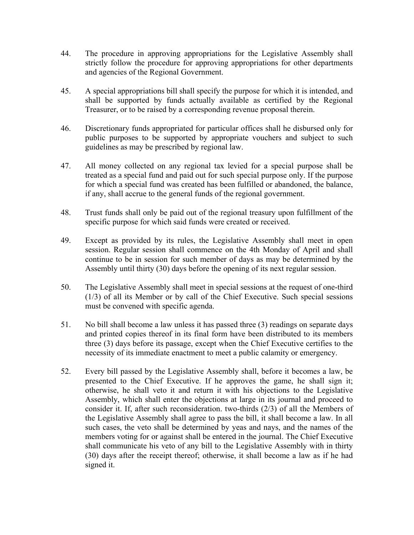- 44. The procedure in approving appropriations for the Legislative Assembly shall strictly follow the procedure for approving appropriations for other departments and agencies of the Regional Government.
- 45. A special appropriations bill shall specify the purpose for which it is intended, and shall be supported by funds actually available as certified by the Regional Treasurer, or to be raised by a corresponding revenue proposal therein.
- 46. Discretionary funds appropriated for particular offices shall he disbursed only for public purposes to be supported by appropriate vouchers and subject to such guidelines as may be prescribed by regional law.
- 47. All money collected on any regional tax levied for a special purpose shall be treated as a special fund and paid out for such special purpose only. If the purpose for which a special fund was created has been fulfilled or abandoned, the balance, if any, shall accrue to the general funds of the regional government.
- 48. Trust funds shall only be paid out of the regional treasury upon fulfillment of the specific purpose for which said funds were created or received.
- 49. Except as provided by its rules, the Legislative Assembly shall meet in open session. Regular session shall commence on the 4th Monday of April and shall continue to be in session for such member of days as may be determined by the Assembly until thirty (30) days before the opening of its next regular session.
- 50. The Legislative Assembly shall meet in special sessions at the request of one-third (1/3) of all its Member or by call of the Chief Executive. Such special sessions must be convened with specific agenda.
- 51. No bill shall become a law unless it has passed three (3) readings on separate days and printed copies thereof in its final form have been distributed to its members three (3) days before its passage, except when the Chief Executive certifies to the necessity of its immediate enactment to meet a public calamity or emergency.
- 52. Every bill passed by the Legislative Assembly shall, before it becomes a law, be presented to the Chief Executive. If he approves the game, he shall sign it; otherwise, he shall veto it and return it with his objections to the Legislative Assembly, which shall enter the objections at large in its journal and proceed to consider it. If, after such reconsideration. two-thirds (2/3) of all the Members of the Legislative Assembly shall agree to pass the bill, it shall become a law. In all such cases, the veto shall be determined by yeas and nays, and the names of the members voting for or against shall be entered in the journal. The Chief Executive shall communicate his veto of any bill to the Legislative Assembly with in thirty (30) days after the receipt thereof; otherwise, it shall become a law as if he had signed it.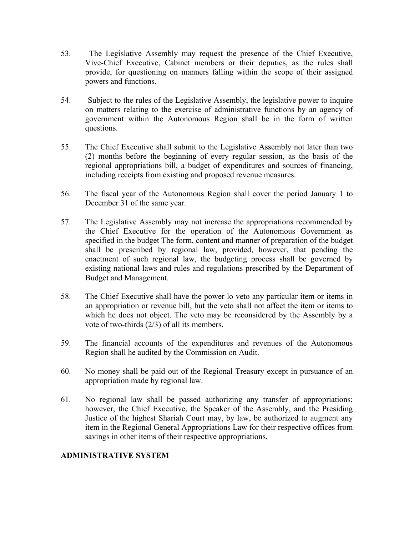- 53. The Legislative Assembly may request the presence of the Chief Executive, Vive-Chief Executive, Cabinet members or their deputies, as the rules shall provide, for questioning on manners falling within the scope of their assigned powers and functions.
- 54. Subject to the rules of the Legislative Assembly, the legislative power to inquire on matters relating to the exercise of administrative functions by an agency of government within the Autonomous Region shall be in the form of written questions.
- 55. The Chief Executive shall submit to the Legislative Assembly not later than two (2) months before the beginning of every regular session, as the basis of the regional appropriations bill, a budget of expenditures and sources of financing, including receipts from existing and proposed revenue measures.
- 56. The fiscal year of the Autonomous Region shall cover the period January 1 to December 31 of the same year.
- 57. The Legislative Assembly may not increase the appropriations recommended by the Chief Executive for the operation of the Autonomous Government as specified in the budget The form, content and manner of preparation of the budget shall be prescribed by regional law, provided, however, that pending the enactment of such regional law, the budgeting process shall be governed by existing national laws and rules and regulations prescribed by the Department of Budget and Management.
- 58. The Chief Executive shall have the power lo veto any particular item or items in an appropriation or revenue bill, but the veto shall not affect the item or items to which he does not object. The veto may be reconsidered by the Assembly by a vote of two-thirds (2/3) of all its members.
- 59. The financial accounts of the expenditures and revenues of the Autonomous Region shall he audited by the Commission on Audit.
- 60. No money shall be paid out of the Regional Treasury except in pursuance of an appropriation made by regional law.
- 61. No regional law shall be passed authorizing any transfer of appropriations; however, the Chief Executive, the Speaker of the Assembly, and the Presiding Justice of the highest Shariah Court may, by law, be authorized to augment any item in the Regional General Appropriations Law for their respective offices from savings in other items of their respective appropriations.

## **ADMINISTRATIVE SYSTEM**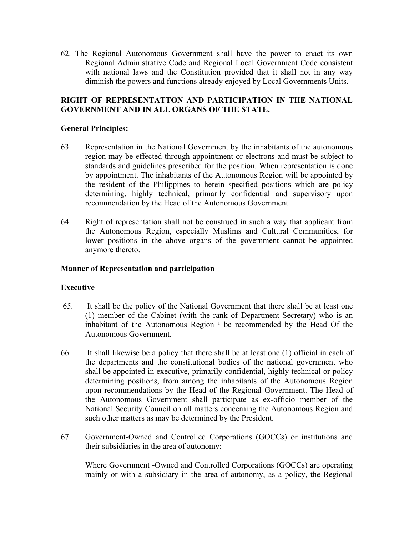62. The Regional Autonomous Government shall have the power to enact its own Regional Administrative Code and Regional Local Government Code consistent with national laws and the Constitution provided that it shall not in any way diminish the powers and functions already enjoyed by Local Governments Units.

## **RIGHT OF REPRESENTATTON AND PARTICIPATION IN THE NATIONAL GOVERNMENT AND IN ALL ORGANS OF THE STATE.**

#### **General Principles:**

- 63. Representation in the National Government by the inhabitants of the autonomous region may be effected through appointment or electrons and must be subject to standards and guidelines prescribed for the position. When representation is done by appointment. The inhabitants of the Autonomous Region will be appointed by the resident of the Philippines to herein specified positions which are policy determining, highly technical, primarily confidential and supervisory upon recommendation by the Head of the Autonomous Government.
- 64. Right of representation shall not be construed in such a way that applicant from the Autonomous Region, especially Muslims and Cultural Communities, for lower positions in the above organs of the government cannot be appointed anymore thereto.

#### **Manner of Representation and participation**

#### **Executive**

- 65. It shall be the policy of the National Government that there shall be at least one (1) member of the Cabinet (with the rank of Department Secretary) who is an inhabitant of the Autonomous Region<sup> $1$ </sup> be recommended by the Head Of the Autonomous Government.
- 66. It shall likewise be a policy that there shall be at least one (1) official in each of the departments and the constitutional bodies of the national government who shall be appointed in executive, primarily confidential, highly technical or policy determining positions, from among the inhabitants of the Autonomous Region upon recommendations by the Head of the Regional Government. The Head of the Autonomous Government shall participate as ex-officio member of the National Security Council on all matters concerning the Autonomous Region and such other matters as may be determined by the President.
- 67. Government-Owned and Controlled Corporations (GOCCs) or institutions and their subsidiaries in the area of autonomy:

Where Government -Owned and Controlled Corporations (GOCCs) are operating mainly or with a subsidiary in the area of autonomy, as a policy, the Regional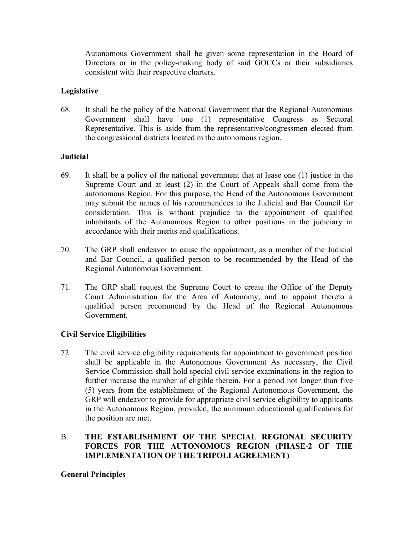Autonomous Government shall he given some representation in the Board of Directors or in the policy-making body of said GOCCs or their subsidiaries consistent with their respective charters.

## **Legislative**

68. It shall be the policy of the National Government that the Regional Autonomous Government shall have one (1) representative Congress as Sectoral Representative. This is aside from the representative/congressmen elected from the congressional districts located m the autonomous region.

#### **Judicial**

- 69. It shall be a policy of the national government that at lease one (1) justice in the Supreme Court and at least (2) in the Court of Appeals shall come from the autonomous Region. For this purpose, the Head of the Autonomous Government may submit the names of his recommendees to the Judicial and Bar Council for consideration. This is without prejudice to the appointment of qualified inhabitants of the Autonomous Region to other positions in the judiciary in accordance with their merits and qualifications.
- 70. The GRP shall endeavor to cause the appointment, as a member of the Judicial and Bar Council, a qualified person to be recommended by the Head of the Regional Autonomous Government.
- 71. The GRP shall request the Supreme Court to create the Office of the Deputy Court Administration for the Area of Autonomy, and to appoint thereto a qualified person recommend by the Head of the Regional Autonomous Government.

## **Civil Service Eligibilities**

72. The civil service eligibility requirements for appointment to government position shall be applicable in the Autonomous Government As necessary, the Civil Service Commission shall hold special civil service examinations in the region to further increase the number of eligible therein. For a period not longer than five (5) years from the establishment of the Regional Autonomous Government, the GRP will endeavor to provide for appropriate civil service eligibility to applicants in the Autonomous Region, provided, the minimum educational qualifications for the position are met.

## B. **THE ESTABLISHMENT OF THE SPECIAL REGIONAL SECURITY FORCES FOR THE AUTONOMOUS REGION (PHASE-2 OF THE IMPLEMENTATION OF THE TRIPOLI AGREEMENT)**

#### **General Principles**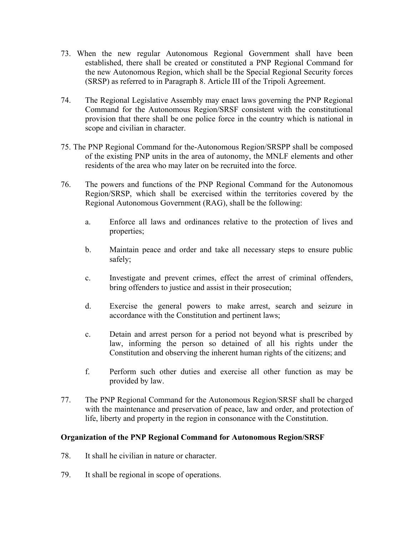- 73. When the new regular Autonomous Regional Government shall have been established, there shall be created or constituted a PNP Regional Command for the new Autonomous Region, which shall be the Special Regional Security forces (SRSP) as referred to in Paragraph 8. Article III of the Tripoli Agreement.
- 74. The Regional Legislative Assembly may enact laws governing the PNP Regional Command for the Autonomous Region/SRSF consistent with the constitutional provision that there shall be one police force in the country which is national in scope and civilian in character.
- 75. The PNP Regional Command for the-Autonomous Region/SRSPP shall be composed of the existing PNP units in the area of autonomy, the MNLF elements and other residents of the area who may later on be recruited into the force.
- 76. The powers and functions of the PNP Regional Command for the Autonomous Region/SRSP, which shall be exercised within the territories covered by the Regional Autonomous Government (RAG), shall be the following:
	- a. Enforce all laws and ordinances relative to the protection of lives and properties;
	- b. Maintain peace and order and take all necessary steps to ensure public safely;
	- c. Investigate and prevent crimes, effect the arrest of criminal offenders, bring offenders to justice and assist in their prosecution;
	- d. Exercise the general powers to make arrest, search and seizure in accordance with the Constitution and pertinent laws;
	- c. Detain and arrest person for a period not beyond what is prescribed by law, informing the person so detained of all his rights under the Constitution and observing the inherent human rights of the citizens; and
	- f. Perform such other duties and exercise all other function as may be provided by law.
- 77. The PNP Regional Command for the Autonomous Region/SRSF shall be charged with the maintenance and preservation of peace, law and order, and protection of life, liberty and property in the region in consonance with the Constitution.

## **Organization of the PNP Regional Command for Autonomous Region/SRSF**

- 78. It shall he civilian in nature or character.
- 79. It shall be regional in scope of operations.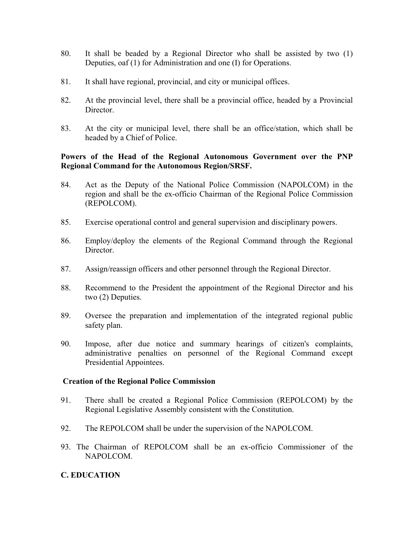- 80. It shall be beaded by a Regional Director who shall be assisted by two (1) Deputies, oaf (1) for Administration and one (I) for Operations.
- 81. It shall have regional, provincial, and city or municipal offices.
- 82. At the provincial level, there shall be a provincial office, headed by a Provincial Director.
- 83. At the city or municipal level, there shall be an office/station, which shall be headed by a Chief of Police.

#### **Powers of the Head of the Regional Autonomous Government over the PNP Regional Command for the Autonomous Region/SRSF.**

- 84. Act as the Deputy of the National Police Commission (NAPOLCOM) in the region and shall be the ex-officio Chairman of the Regional Police Commission (REPOLCOM).
- 85. Exercise operational control and general supervision and disciplinary powers.
- 86. Employ/deploy the elements of the Regional Command through the Regional **Director**
- 87. Assign/reassign officers and other personnel through the Regional Director.
- 88. Recommend to the President the appointment of the Regional Director and his two (2) Deputies.
- 89. Oversee the preparation and implementation of the integrated regional public safety plan.
- 90. Impose, after due notice and summary hearings of citizen's complaints, administrative penalties on personnel of the Regional Command except Presidential Appointees.

#### **Creation of the Regional Police Commission**

- 91. There shall be created a Regional Police Commission (REPOLCOM) by the Regional Legislative Assembly consistent with the Constitution.
- 92. The REPOLCOM shall be under the supervision of the NAPOLCOM.
- 93. The Chairman of REPOLCOM shall be an ex-officio Commissioner of the NAPOLCOM.

## **C. EDUCATION**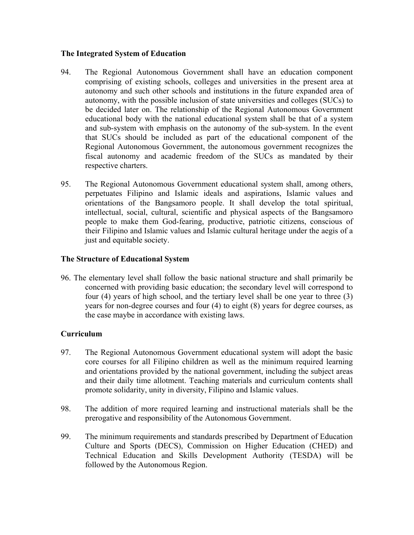#### **The Integrated System of Education**

- 94. The Regional Autonomous Government shall have an education component comprising of existing schools, colleges and universities in the present area at autonomy and such other schools and institutions in the future expanded area of autonomy, with the possible inclusion of state universities and colleges (SUCs) to be decided later on. The relationship of the Regional Autonomous Government educational body with the national educational system shall be that of a system and sub-system with emphasis on the autonomy of the sub-system. In the event that SUCs should be included as part of the educational component of the Regional Autonomous Government, the autonomous government recognizes the fiscal autonomy and academic freedom of the SUCs as mandated by their respective charters.
- 95. The Regional Autonomous Government educational system shall, among others, perpetuates Filipino and Islamic ideals and aspirations, Islamic values and orientations of the Bangsamoro people. It shall develop the total spiritual, intellectual, social, cultural, scientific and physical aspects of the Bangsamoro people to make them God-fearing, productive, patriotic citizens, conscious of their Filipino and Islamic values and Islamic cultural heritage under the aegis of a just and equitable society.

#### **The Structure of Educational System**

96. The elementary level shall follow the basic national structure and shall primarily be concerned with providing basic education; the secondary level will correspond to four (4) years of high school, and the tertiary level shall be one year to three (3) years for non-degree courses and four (4) to eight (8) years for degree courses, as the case maybe in accordance with existing laws.

## **Curriculum**

- 97. The Regional Autonomous Government educational system will adopt the basic core courses for all Filipino children as well as the minimum required learning and orientations provided by the national government, including the subject areas and their daily time allotment. Teaching materials and curriculum contents shall promote solidarity, unity in diversity, Filipino and Islamic values.
- 98. The addition of more required learning and instructional materials shall be the prerogative and responsibility of the Autonomous Government.
- 99. The minimum requirements and standards prescribed by Department of Education Culture and Sports (DECS), Commission on Higher Education (CHED) and Technical Education and Skills Development Authority (TESDA) will be followed by the Autonomous Region.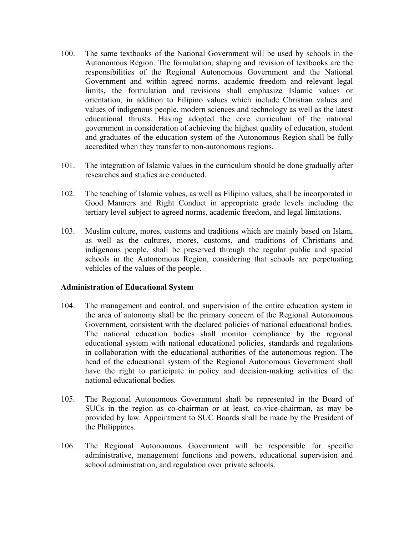- 100. The same textbooks of the National Government will be used by schools in the Autonomous Region. The formulation, shaping and revision of textbooks are the responsibilities of the Regional Autonomous Government and the National Government and within agreed norms, academic freedom and relevant legal limits, the formulation and revisions shall emphasize Islamic values or orientation, in addition to Filipino values which include Christian values and values of indigenous people, modern sciences and technology as well as the latest educational thrusts. Having adopted the core curriculum of the national government in consideration of achieving the highest quality of education, student and graduates of the education system of the Autonomous Region shall be fully accredited when they transfer to non-autonomous regions.
- 101. The integration of Islamic values in the curriculum should be done gradually after researches and studies are conducted.
- 102. The teaching of Islamic values, as well as Filipino values, shall be incorporated in Good Manners and Right Conduct in appropriate grade levels including the tertiary level subject to agreed norms, academic freedom, and legal limitations.
- 103. Muslim culture, mores, customs and traditions which are mainly based on Islam, as well as the cultures, mores, customs, and traditions of Christians and indigenous people, shall be preserved through the regular public and special schools in the Autonomous Region, considering that schools are perpetuating vehicles of the values of the people.

#### **Administration of Educational System**

- 104. The management and control, and supervision of the entire education system in the area of autonomy shall be the primary concern of the Regional Autonomous Government, consistent with the declared policies of national educational bodies. The national education bodies shall monitor compliance by the regional educational system with national educational policies, standards and regulations in collaboration with the educational authorities of the autonomous region. The head of the educational system of the Regional Autonomous Government shall have the right to participate in policy and decision-making activities of the national educational bodies.
- 105. The Regional Autonomous Government shaft be represented in the Board of SUCs in the region as co-chairman or at least, co-vice-chairman, as may be provided by law. Appointment to SUC Boards shall be made by the President of the Philippines.
- 106. The Regional Autonomous Government will be responsible for specific administrative, management functions and powers, educational supervision and school administration, and regulation over private schools.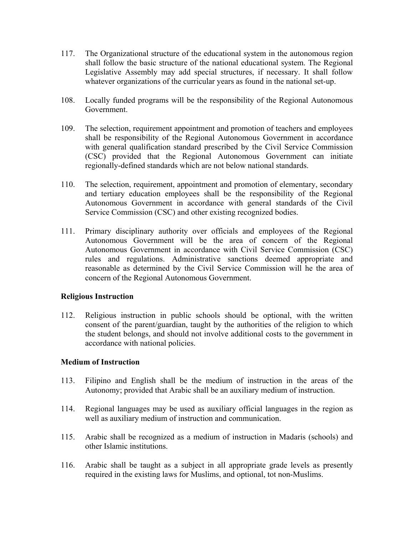- 117. The Organizational structure of the educational system in the autonomous region shall follow the basic structure of the national educational system. The Regional Legislative Assembly may add special structures, if necessary. It shall follow whatever organizations of the curricular years as found in the national set-up.
- 108. Locally funded programs will be the responsibility of the Regional Autonomous Government.
- 109. The selection, requirement appointment and promotion of teachers and employees shall be responsibility of the Regional Autonomous Government in accordance with general qualification standard prescribed by the Civil Service Commission (CSC) provided that the Regional Autonomous Government can initiate regionally-defined standards which are not below national standards.
- 110. The selection, requirement, appointment and promotion of elementary, secondary and tertiary education employees shall be the responsibility of the Regional Autonomous Government in accordance with general standards of the Civil Service Commission (CSC) and other existing recognized bodies.
- 111. Primary disciplinary authority over officials and employees of the Regional Autonomous Government will be the area of concern of the Regional Autonomous Government in accordance with Civil Service Commission (CSC) rules and regulations. Administrative sanctions deemed appropriate and reasonable as determined by the Civil Service Commission will he the area of concern of the Regional Autonomous Government.

#### **Religious Instruction**

112. Religious instruction in public schools should be optional, with the written consent of the parent/guardian, taught by the authorities of the religion to which the student belongs, and should not involve additional costs to the government in accordance with national policies.

## **Medium of Instruction**

- 113. Filipino and English shall be the medium of instruction in the areas of the Autonomy; provided that Arabic shall be an auxiliary medium of instruction.
- 114. Regional languages may be used as auxiliary official languages in the region as well as auxiliary medium of instruction and communication.
- 115. Arabic shall be recognized as a medium of instruction in Madaris (schools) and other Islamic institutions.
- 116. Arabic shall be taught as a subject in all appropriate grade levels as presently required in the existing laws for Muslims, and optional, tot non-Muslims.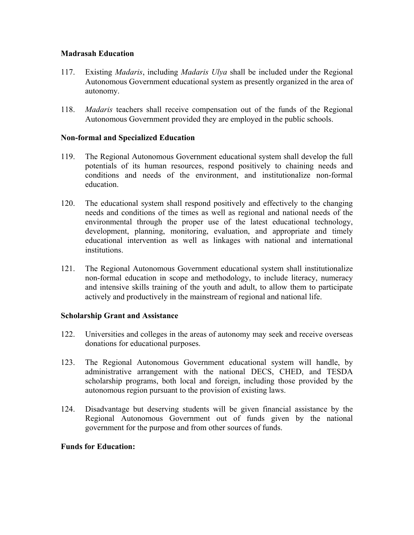#### **Madrasah Education**

- 117. Existing *Madaris*, including *Madaris Ulya* shall be included under the Regional Autonomous Government educational system as presently organized in the area of autonomy.
- 118. *Madaris* teachers shall receive compensation out of the funds of the Regional Autonomous Government provided they are employed in the public schools.

#### **Non-formal and Specialized Education**

- 119. The Regional Autonomous Government educational system shall develop the full potentials of its human resources, respond positively to chaining needs and conditions and needs of the environment, and institutionalize non-formal education.
- 120. The educational system shall respond positively and effectively to the changing needs and conditions of the times as well as regional and national needs of the environmental through the proper use of the latest educational technology, development, planning, monitoring, evaluation, and appropriate and timely educational intervention as well as linkages with national and international institutions.
- 121. The Regional Autonomous Government educational system shall institutionalize non-formal education in scope and methodology, to include literacy, numeracy and intensive skills training of the youth and adult, to allow them to participate actively and productively in the mainstream of regional and national life.

#### **Scholarship Grant and Assistance**

- 122. Universities and colleges in the areas of autonomy may seek and receive overseas donations for educational purposes.
- 123. The Regional Autonomous Government educational system will handle, by administrative arrangement with the national DECS, CHED, and TESDA scholarship programs, both local and foreign, including those provided by the autonomous region pursuant to the provision of existing laws.
- 124. Disadvantage but deserving students will be given financial assistance by the Regional Autonomous Government out of funds given by the national government for the purpose and from other sources of funds.

#### **Funds for Education:**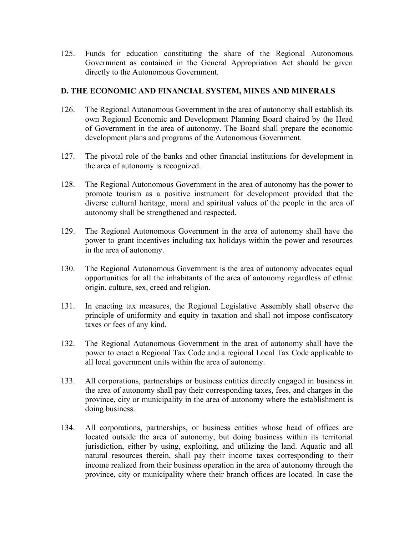125. Funds for education constituting the share of the Regional Autonomous Government as contained in the General Appropriation Act should be given directly to the Autonomous Government.

#### **D. THE ECONOMIC AND FINANCIAL SYSTEM, MINES AND MINERALS**

- 126. The Regional Autonomous Government in the area of autonomy shall establish its own Regional Economic and Development Planning Board chaired by the Head of Government in the area of autonomy. The Board shall prepare the economic development plans and programs of the Autonomous Government.
- 127. The pivotal role of the banks and other financial institutions for development in the area of autonomy is recognized.
- 128. The Regional Autonomous Government in the area of autonomy has the power to promote tourism as a positive instrument for development provided that the diverse cultural heritage, moral and spiritual values of the people in the area of autonomy shall be strengthened and respected.
- 129. The Regional Autonomous Government in the area of autonomy shall have the power to grant incentives including tax holidays within the power and resources in the area of autonomy.
- 130. The Regional Autonomous Government is the area of autonomy advocates equal opportunities for all the inhabitants of the area of autonomy regardless of ethnic origin, culture, sex, creed and religion.
- 131. In enacting tax measures, the Regional Legislative Assembly shall observe the principle of uniformity and equity in taxation and shall not impose confiscatory taxes or fees of any kind.
- 132. The Regional Autonomous Government in the area of autonomy shall have the power to enact a Regional Tax Code and a regional Local Tax Code applicable to all local government units within the area of autonomy.
- 133. All corporations, partnerships or business entities directly engaged in business in the area of autonomy shall pay their corresponding taxes, fees, and charges in the province, city or municipality in the area of autonomy where the establishment is doing business.
- 134. All corporations, partnerships, or business entities whose head of offices are located outside the area of autonomy, but doing business within its territorial jurisdiction, either by using, exploiting, and utilizing the land. Aquatic and all natural resources therein, shall pay their income taxes corresponding to their income realized from their business operation in the area of autonomy through the province, city or municipality where their branch offices are located. In case the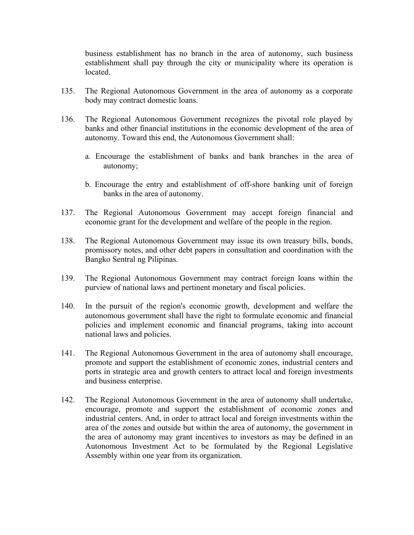business establishment has no branch in the area of autonomy, such business establishment shall pay through the city or municipality where its operation is located.

- 135. The Regional Autonomous Government in the area of autonomy as a corporate body may contract domestic loans.
- 136. The Regional Autonomous Government recognizes the pivotal role played by banks and other financial institutions in the economic development of the area of autonomy. Toward this end, the Autonomous Government shall:
	- a. Encourage the establishment of banks and bank branches in the area of autonomy;
	- b. Encourage the entry and establishment of off-shore banking unit of foreign banks in the area of autonomy.
- 137. The Regional Autonomous Government may accept foreign financial and economic grant for the development and welfare of the people in the region.
- 138. The Regional Autonomous Government may issue its own treasury bills, bonds, promissory notes, and other debt papers in consultation and coordination with the Bangko Sentral ng Pilipinas.
- 139. The Regional Autonomous Government may contract foreign loans within the purview of national laws and pertinent monetary and fiscal policies.
- 140. In the pursuit of the region's economic growth, development and welfare the autonomous government shall have the right to formulate economic and financial policies and implement economic and financial programs, taking into account national laws and policies.
- 141. The Regional Autonomous Government in the area of autonomy shall encourage, promote and support the establishment of economic zones, industrial centers and ports in strategic area and growth centers to attract local and foreign investments and business enterprise.
- 142. The Regional Autonomous Government in the area of autonomy shall undertake, encourage, promote and support the establishment of economic zones and industrial centers. And, in order to attract local and foreign investments within the area of the zones and outside but within the area of autonomy, the government in the area of autonomy may grant incentives to investors as may be defined in an Autonomous Investment Act to be formulated by the Regional Legislative Assembly within one year from its organization.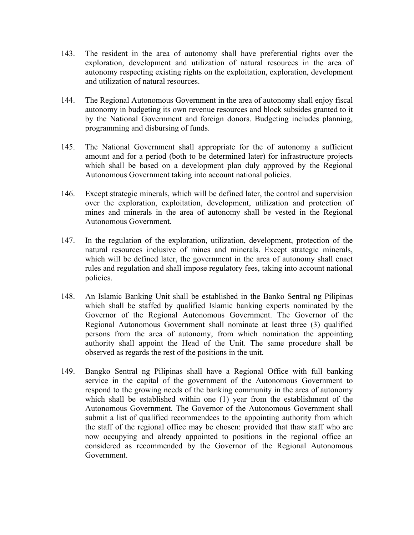- 143. The resident in the area of autonomy shall have preferential rights over the exploration, development and utilization of natural resources in the area of autonomy respecting existing rights on the exploitation, exploration, development and utilization of natural resources.
- 144. The Regional Autonomous Government in the area of autonomy shall enjoy fiscal autonomy in budgeting its own revenue resources and block subsides granted to it by the National Government and foreign donors. Budgeting includes planning, programming and disbursing of funds.
- 145. The National Government shall appropriate for the of autonomy a sufficient amount and for a period (both to be determined later) for infrastructure projects which shall be based on a development plan duly approved by the Regional Autonomous Government taking into account national policies.
- 146. Except strategic minerals, which will be defined later, the control and supervision over the exploration, exploitation, development, utilization and protection of mines and minerals in the area of autonomy shall be vested in the Regional Autonomous Government.
- 147. In the regulation of the exploration, utilization, development, protection of the natural resources inclusive of mines and minerals. Except strategic minerals, which will be defined later, the government in the area of autonomy shall enact rules and regulation and shall impose regulatory fees, taking into account national policies.
- 148. An Islamic Banking Unit shall be established in the Banko Sentral ng Pilipinas which shall be staffed by qualified Islamic banking experts nominated by the Governor of the Regional Autonomous Government. The Governor of the Regional Autonomous Government shall nominate at least three (3) qualified persons from the area of autonomy, from which nomination the appointing authority shall appoint the Head of the Unit. The same procedure shall be observed as regards the rest of the positions in the unit.
- 149. Bangko Sentral ng Pilipinas shall have a Regional Office with full banking service in the capital of the government of the Autonomous Government to respond to the growing needs of the banking community in the area of autonomy which shall be established within one (1) year from the establishment of the Autonomous Government. The Governor of the Autonomous Government shall submit a list of qualified recommendees to the appointing authority from which the staff of the regional office may be chosen: provided that thaw staff who are now occupying and already appointed to positions in the regional office an considered as recommended by the Governor of the Regional Autonomous Government.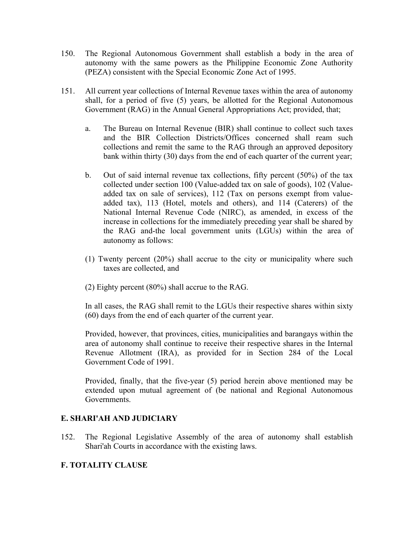- 150. The Regional Autonomous Government shall establish a body in the area of autonomy with the same powers as the Philippine Economic Zone Authority (PEZA) consistent with the Special Economic Zone Act of 1995.
- 151. All current year collections of Internal Revenue taxes within the area of autonomy shall, for a period of five (5) years, be allotted for the Regional Autonomous Government (RAG) in the Annual General Appropriations Act; provided, that;
	- a. The Bureau on Internal Revenue (BIR) shall continue to collect such taxes and the BIR Collection Districts/Offices concerned shall ream such collections and remit the same to the RAG through an approved depository bank within thirty (30) days from the end of each quarter of the current year;
	- b. Out of said internal revenue tax collections, fifty percent (50%) of the tax collected under section 100 (Value-added tax on sale of goods), 102 (Valueadded tax on sale of services), 112 (Tax on persons exempt from valueadded tax), 113 (Hotel, motels and others), and 114 (Caterers) of the National Internal Revenue Code (NIRC), as amended, in excess of the increase in collections for the immediately preceding year shall be shared by the RAG and-the local government units (LGUs) within the area of autonomy as follows:
	- (1) Twenty percent (20%) shall accrue to the city or municipality where such taxes are collected, and
	- (2) Eighty percent (80%) shall accrue to the RAG.

In all cases, the RAG shall remit to the LGUs their respective shares within sixty (60) days from the end of each quarter of the current year.

Provided, however, that provinces, cities, municipalities and barangays within the area of autonomy shall continue to receive their respective shares in the Internal Revenue Allotment (IRA), as provided for in Section 284 of the Local Government Code of 1991.

Provided, finally, that the five-year (5) period herein above mentioned may be extended upon mutual agreement of (be national and Regional Autonomous Governments.

## **E. SHARI'AH AND JUDICIARY**

152. The Regional Legislative Assembly of the area of autonomy shall establish Shari'ah Courts in accordance with the existing laws.

# **F. TOTALITY CLAUSE**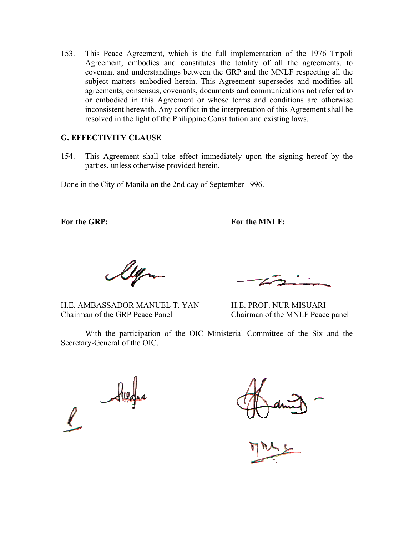153. This Peace Agreement, which is the full implementation of the 1976 Tripoli Agreement, embodies and constitutes the totality of all the agreements, to covenant and understandings between the GRP and the MNLF respecting all the subject matters embodied herein. This Agreement supersedes and modifies all agreements, consensus, covenants, documents and communications not referred to or embodied in this Agreement or whose terms and conditions are otherwise inconsistent herewith. Any conflict in the interpretation of this Agreement shall be resolved in the light of the Philippine Constitution and existing laws.

#### **G. EFFECTIVITY CLAUSE**

154. This Agreement shall take effect immediately upon the signing hereof by the parties, unless otherwise provided herein.

Done in the City of Manila on the 2nd day of September 1996.

**For the GRP: For the MNLF:**

H.E. AMBASSADOR MANUEL T. YAN H.E. PROF. NUR MISUARI Chairman of the GRP Peace Panel Chairman of the MNLF Peace panel

With the participation of the OIC Ministerial Committee of the Six and the Secretary-General of the OIC.

 $\mathcal{A}$